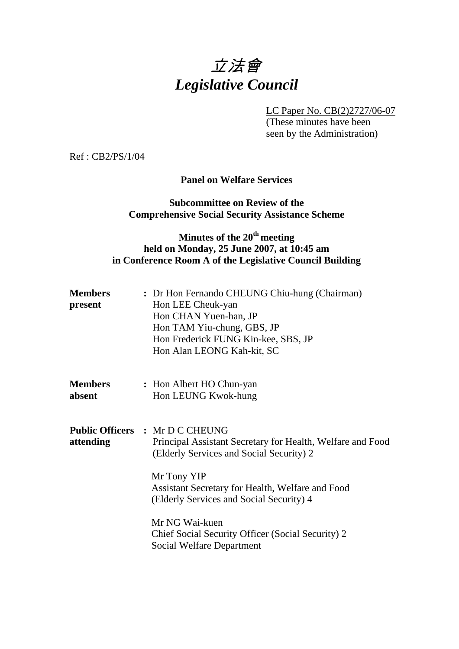# 立法會 *Legislative Council*

LC Paper No. CB(2)2727/06-07

 (These minutes have been seen by the Administration)

Ref : CB2/PS/1/04

#### **Panel on Welfare Services**

## **Subcommittee on Review of the Comprehensive Social Security Assistance Scheme**

# **Minutes of the 20th meeting held on Monday, 25 June 2007, at 10:45 am in Conference Room A of the Legislative Council Building**

| <b>Members</b><br>present | : Dr Hon Fernando CHEUNG Chiu-hung (Chairman)<br>Hon LEE Cheuk-yan<br>Hon CHAN Yuen-han, JP<br>Hon TAM Yiu-chung, GBS, JP<br>Hon Frederick FUNG Kin-kee, SBS, JP<br>Hon Alan LEONG Kah-kit, SC                                                                  |
|---------------------------|-----------------------------------------------------------------------------------------------------------------------------------------------------------------------------------------------------------------------------------------------------------------|
| Members<br>absent         | : Hon Albert HO Chun-yan<br>Hon LEUNG Kwok-hung                                                                                                                                                                                                                 |
| attending                 | <b>Public Officers : Mr D C CHEUNG</b><br>Principal Assistant Secretary for Health, Welfare and Food<br>(Elderly Services and Social Security) 2<br>Mr Tony YIP<br>Assistant Secretary for Health, Welfare and Food<br>(Elderly Services and Social Security) 4 |
|                           | Mr NG Wai-kuen<br>Chief Social Security Officer (Social Security) 2<br><b>Social Welfare Department</b>                                                                                                                                                         |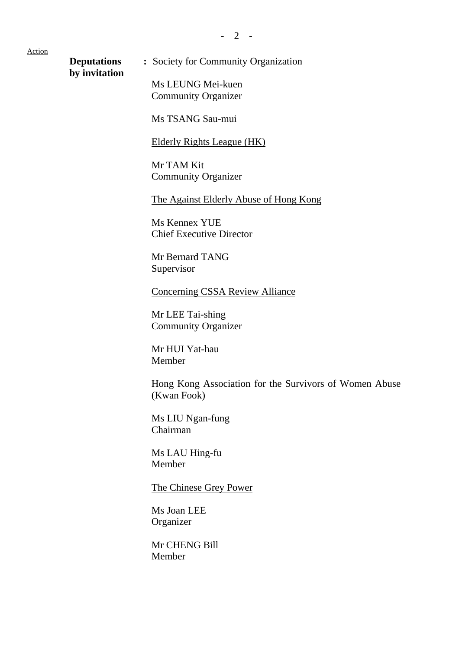**by invitation** 

**Deputations** : Society for Community Organization

Ms LEUNG Mei-kuen Community Organizer

Ms TSANG Sau-mui

Elderly Rights League (HK)

Mr TAM Kit Community Organizer

The Against Elderly Abuse of Hong Kong

Ms Kennex YUE Chief Executive Director

Mr Bernard TANG Supervisor

Concerning CSSA Review Alliance

Mr LEE Tai-shing Community Organizer

Mr HUI Yat-hau Member

Hong Kong Association for the Survivors of Women Abuse (Kwan Fook)

Ms LIU Ngan-fung Chairman

Ms LAU Hing-fu Member

The Chinese Grey Power

Ms Joan LEE **Organizer** 

Mr CHENG Bill Member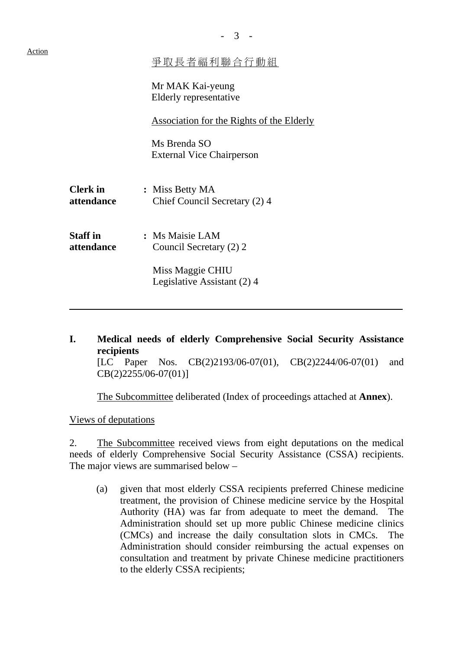| Action                        | 爭取長者福利聯合行動組                                      |
|-------------------------------|--------------------------------------------------|
|                               | Mr MAK Kai-yeung<br>Elderly representative       |
|                               | <b>Association for the Rights of the Elderly</b> |
|                               | Ms Brenda SO<br><b>External Vice Chairperson</b> |
| <b>Clerk</b> in<br>attendance | : Miss Betty MA<br>Chief Council Secretary (2) 4 |
| <b>Staff</b> in<br>attendance | : Ms Maisie LAM<br>Council Secretary (2) 2       |
|                               | Miss Maggie CHIU<br>Legislative Assistant (2) 4  |
|                               |                                                  |

**I. Medical needs of elderly Comprehensive Social Security Assistance recipients**  [LC Paper Nos. CB(2)2193/06-07(01), CB(2)2244/06-07(01) and

- 3 -

CB(2)2255/06-07(01)]

1. The Subcommittee deliberated (Index of proceedings attached at **Annex**).

Views of deputations

2. The Subcommittee received views from eight deputations on the medical needs of elderly Comprehensive Social Security Assistance (CSSA) recipients. The major views are summarised below –

(a) given that most elderly CSSA recipients preferred Chinese medicine treatment, the provision of Chinese medicine service by the Hospital Authority (HA) was far from adequate to meet the demand. The Administration should set up more public Chinese medicine clinics (CMCs) and increase the daily consultation slots in CMCs. The Administration should consider reimbursing the actual expenses on consultation and treatment by private Chinese medicine practitioners to the elderly CSSA recipients;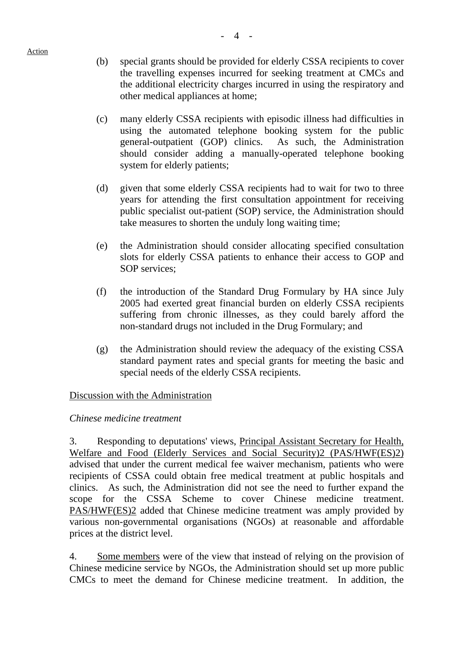- (b) special grants should be provided for elderly CSSA recipients to cover the travelling expenses incurred for seeking treatment at CMCs and the additional electricity charges incurred in using the respiratory and other medical appliances at home;
- (c) many elderly CSSA recipients with episodic illness had difficulties in using the automated telephone booking system for the public general-outpatient (GOP) clinics. As such, the Administration should consider adding a manually-operated telephone booking system for elderly patients;
- (d) given that some elderly CSSA recipients had to wait for two to three years for attending the first consultation appointment for receiving public specialist out-patient (SOP) service, the Administration should take measures to shorten the unduly long waiting time;
- (e) the Administration should consider allocating specified consultation slots for elderly CSSA patients to enhance their access to GOP and SOP services;
- (f) the introduction of the Standard Drug Formulary by HA since July 2005 had exerted great financial burden on elderly CSSA recipients suffering from chronic illnesses, as they could barely afford the non-standard drugs not included in the Drug Formulary; and
- (g) the Administration should review the adequacy of the existing CSSA standard payment rates and special grants for meeting the basic and special needs of the elderly CSSA recipients.

#### Discussion with the Administration

#### *Chinese medicine treatment*

3. Responding to deputations' views, Principal Assistant Secretary for Health, Welfare and Food (Elderly Services and Social Security)2 (PAS/HWF(ES)2) advised that under the current medical fee waiver mechanism, patients who were recipients of CSSA could obtain free medical treatment at public hospitals and clinics. As such, the Administration did not see the need to further expand the scope for the CSSA Scheme to cover Chinese medicine treatment. PAS/HWF(ES)2 added that Chinese medicine treatment was amply provided by various non-governmental organisations (NGOs) at reasonable and affordable prices at the district level.

4. Some members were of the view that instead of relying on the provision of Chinese medicine service by NGOs, the Administration should set up more public CMCs to meet the demand for Chinese medicine treatment. In addition, the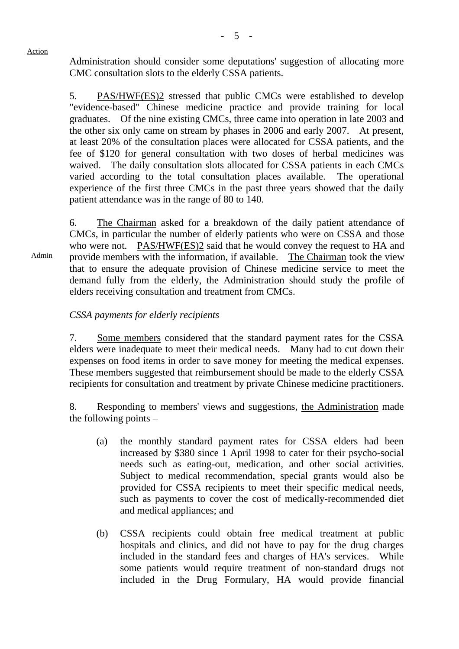Admin

Administration should consider some deputations' suggestion of allocating more CMC consultation slots to the elderly CSSA patients.

5. PAS/HWF(ES)2 stressed that public CMCs were established to develop "evidence-based" Chinese medicine practice and provide training for local graduates. Of the nine existing CMCs, three came into operation in late 2003 and the other six only came on stream by phases in 2006 and early 2007. At present, at least 20% of the consultation places were allocated for CSSA patients, and the fee of \$120 for general consultation with two doses of herbal medicines was waived. The daily consultation slots allocated for CSSA patients in each CMCs varied according to the total consultation places available. The operational experience of the first three CMCs in the past three years showed that the daily patient attendance was in the range of 80 to 140.

6. The Chairman asked for a breakdown of the daily patient attendance of CMCs, in particular the number of elderly patients who were on CSSA and those who were not. PAS/HWF(ES)2 said that he would convey the request to HA and provide members with the information, if available. The Chairman took the view that to ensure the adequate provision of Chinese medicine service to meet the demand fully from the elderly, the Administration should study the profile of elders receiving consultation and treatment from CMCs.

*CSSA payments for elderly recipients* 

7. Some members considered that the standard payment rates for the CSSA elders were inadequate to meet their medical needs. Many had to cut down their expenses on food items in order to save money for meeting the medical expenses. These members suggested that reimbursement should be made to the elderly CSSA recipients for consultation and treatment by private Chinese medicine practitioners.

8. Responding to members' views and suggestions, the Administration made the following points –

- (a) the monthly standard payment rates for CSSA elders had been increased by \$380 since 1 April 1998 to cater for their psycho-social needs such as eating-out, medication, and other social activities. Subject to medical recommendation, special grants would also be provided for CSSA recipients to meet their specific medical needs, such as payments to cover the cost of medically-recommended diet and medical appliances; and
- (b) CSSA recipients could obtain free medical treatment at public hospitals and clinics, and did not have to pay for the drug charges included in the standard fees and charges of HA's services. While some patients would require treatment of non-standard drugs not included in the Drug Formulary, HA would provide financial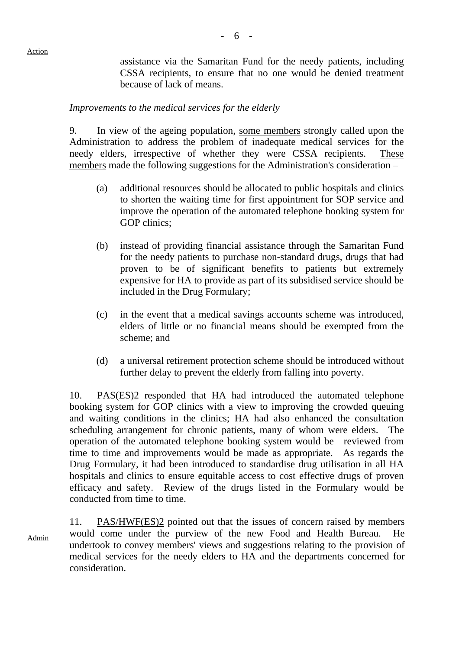assistance via the Samaritan Fund for the needy patients, including CSSA recipients, to ensure that no one would be denied treatment because of lack of means.

#### *Improvements to the medical services for the elderly*

9. In view of the ageing population, some members strongly called upon the Administration to address the problem of inadequate medical services for the needy elders, irrespective of whether they were CSSA recipients. These members made the following suggestions for the Administration's consideration –

- (a) additional resources should be allocated to public hospitals and clinics to shorten the waiting time for first appointment for SOP service and improve the operation of the automated telephone booking system for GOP clinics:
- (b) instead of providing financial assistance through the Samaritan Fund for the needy patients to purchase non-standard drugs, drugs that had proven to be of significant benefits to patients but extremely expensive for HA to provide as part of its subsidised service should be included in the Drug Formulary;
- (c) in the event that a medical savings accounts scheme was introduced, elders of little or no financial means should be exempted from the scheme; and
- (d) a universal retirement protection scheme should be introduced without further delay to prevent the elderly from falling into poverty.

10. PAS(ES)2 responded that HA had introduced the automated telephone booking system for GOP clinics with a view to improving the crowded queuing and waiting conditions in the clinics; HA had also enhanced the consultation scheduling arrangement for chronic patients, many of whom were elders. The operation of the automated telephone booking system would be reviewed from time to time and improvements would be made as appropriate. As regards the Drug Formulary, it had been introduced to standardise drug utilisation in all HA hospitals and clinics to ensure equitable access to cost effective drugs of proven efficacy and safety. Review of the drugs listed in the Formulary would be conducted from time to time.

Admin 11. PAS/HWF(ES)2 pointed out that the issues of concern raised by members would come under the purview of the new Food and Health Bureau. He undertook to convey members' views and suggestions relating to the provision of medical services for the needy elders to HA and the departments concerned for consideration.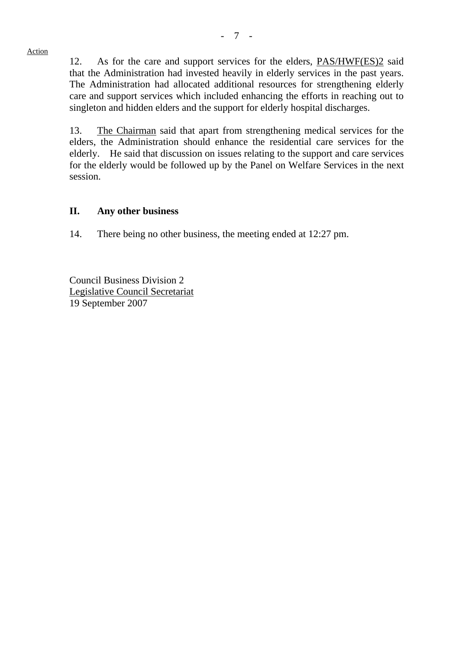12. As for the care and support services for the elders, PAS/HWF(ES)2 said that the Administration had invested heavily in elderly services in the past years. The Administration had allocated additional resources for strengthening elderly care and support services which included enhancing the efforts in reaching out to singleton and hidden elders and the support for elderly hospital discharges.

13. The Chairman said that apart from strengthening medical services for the elders, the Administration should enhance the residential care services for the elderly. He said that discussion on issues relating to the support and care services for the elderly would be followed up by the Panel on Welfare Services in the next session.

## **II. Any other business**

14. There being no other business, the meeting ended at 12:27 pm.

Council Business Division 2 Legislative Council Secretariat 19 September 2007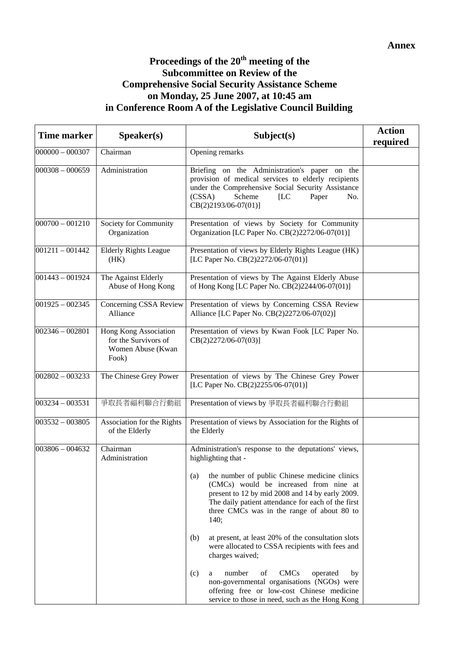# **Proceedings of the 20th meeting of the Subcommittee on Review of the Comprehensive Social Security Assistance Scheme on Monday, 25 June 2007, at 10:45 am in Conference Room A of the Legislative Council Building**

| <b>Time marker</b> | S <sub>p</sub> e <sub>aker</sub> (s)                                        | Subject(s)                                                                                                                                                                                                                                                    | <b>Action</b><br>required |
|--------------------|-----------------------------------------------------------------------------|---------------------------------------------------------------------------------------------------------------------------------------------------------------------------------------------------------------------------------------------------------------|---------------------------|
| $000000 - 000307$  | Chairman                                                                    | Opening remarks                                                                                                                                                                                                                                               |                           |
| $000308 - 000659$  | Administration                                                              | Briefing on the Administration's paper on the<br>provision of medical services to elderly recipients<br>under the Comprehensive Social Security Assistance<br>Scheme<br>(CSSA)<br>[LC]<br>Paper<br>No.<br>$CB(2)2193/06-07(01)]$                              |                           |
| $000700 - 001210$  | Society for Community<br>Organization                                       | Presentation of views by Society for Community<br>Organization [LC Paper No. CB(2)2272/06-07(01)]                                                                                                                                                             |                           |
| $001211 - 001442$  | <b>Elderly Rights League</b><br>(HK)                                        | Presentation of views by Elderly Rights League (HK)<br>[LC Paper No. CB(2)2272/06-07(01)]                                                                                                                                                                     |                           |
| $001443 - 001924$  | The Against Elderly<br>Abuse of Hong Kong                                   | Presentation of views by The Against Elderly Abuse<br>of Hong Kong [LC Paper No. CB(2)2244/06-07(01)]                                                                                                                                                         |                           |
| $001925 - 002345$  | Concerning CSSA Review<br>Alliance                                          | Presentation of views by Concerning CSSA Review<br>Alliance [LC Paper No. CB(2)2272/06-07(02)]                                                                                                                                                                |                           |
| $002346 - 002801$  | Hong Kong Association<br>for the Survivors of<br>Women Abuse (Kwan<br>Fook) | Presentation of views by Kwan Fook [LC Paper No.<br>CB(2)2272/06-07(03)]                                                                                                                                                                                      |                           |
| $002802 - 003233$  | The Chinese Grey Power                                                      | Presentation of views by The Chinese Grey Power<br>[LC Paper No. CB(2)2255/06-07(01)]                                                                                                                                                                         |                           |
| $003234 - 003531$  | 爭取長者福利聯合行動組                                                                 | Presentation of views by 爭取長者福利聯合行動組                                                                                                                                                                                                                          |                           |
| $003532 - 003805$  | Association for the Rights<br>of the Elderly                                | Presentation of views by Association for the Rights of<br>the Elderly                                                                                                                                                                                         |                           |
| $003806 - 004632$  | Chairman<br>Administration                                                  | Administration's response to the deputations' views,<br>highlighting that -                                                                                                                                                                                   |                           |
|                    |                                                                             | the number of public Chinese medicine clinics<br>(a)<br>(CMCs) would be increased from nine at<br>present to 12 by mid 2008 and 14 by early 2009.<br>The daily patient attendance for each of the first<br>three CMCs was in the range of about 80 to<br>140; |                           |
|                    |                                                                             | at present, at least 20% of the consultation slots<br>(b)<br>were allocated to CSSA recipients with fees and<br>charges waived;                                                                                                                               |                           |
|                    |                                                                             | <b>CMCs</b><br>(c)<br>number<br>of<br>operated<br>by<br>a<br>non-governmental organisations (NGOs) were<br>offering free or low-cost Chinese medicine<br>service to those in need, such as the Hong Kong                                                      |                           |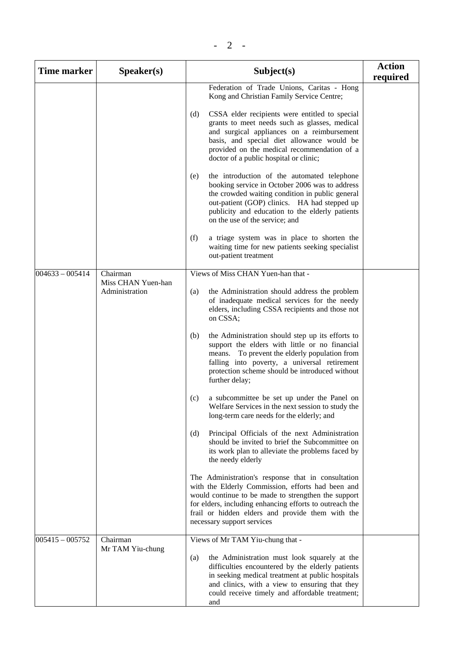| <b>Time marker</b> | $Speaker(s)$                         | Subject(s)                                                                                                                                                                                                                                                                                                  | <b>Action</b><br>required |
|--------------------|--------------------------------------|-------------------------------------------------------------------------------------------------------------------------------------------------------------------------------------------------------------------------------------------------------------------------------------------------------------|---------------------------|
|                    |                                      | Federation of Trade Unions, Caritas - Hong<br>Kong and Christian Family Service Centre;                                                                                                                                                                                                                     |                           |
|                    |                                      | CSSA elder recipients were entitled to special<br>(d)<br>grants to meet needs such as glasses, medical<br>and surgical appliances on a reimbursement<br>basis, and special diet allowance would be<br>provided on the medical recommendation of a<br>doctor of a public hospital or clinic;                 |                           |
|                    |                                      | the introduction of the automated telephone<br>(e)<br>booking service in October 2006 was to address<br>the crowded waiting condition in public general<br>out-patient (GOP) clinics. HA had stepped up<br>publicity and education to the elderly patients<br>on the use of the service; and                |                           |
|                    |                                      | (f)<br>a triage system was in place to shorten the<br>waiting time for new patients seeking specialist<br>out-patient treatment                                                                                                                                                                             |                           |
| $004633 - 005414$  | Chairman                             | Views of Miss CHAN Yuen-han that -                                                                                                                                                                                                                                                                          |                           |
|                    | Miss CHAN Yuen-han<br>Administration | the Administration should address the problem<br>(a)<br>of inadequate medical services for the needy<br>elders, including CSSA recipients and those not<br>on CSSA;                                                                                                                                         |                           |
|                    |                                      | the Administration should step up its efforts to<br>(b)<br>support the elders with little or no financial<br>To prevent the elderly population from<br>means.<br>falling into poverty, a universal retirement<br>protection scheme should be introduced without<br>further delay;                           |                           |
|                    |                                      | a subcommittee be set up under the Panel on<br>(c)<br>Welfare Services in the next session to study the<br>long-term care needs for the elderly; and                                                                                                                                                        |                           |
|                    |                                      | Principal Officials of the next Administration<br>(d)<br>should be invited to brief the Subcommittee on<br>its work plan to alleviate the problems faced by<br>the needy elderly                                                                                                                            |                           |
|                    |                                      | The Administration's response that in consultation<br>with the Elderly Commission, efforts had been and<br>would continue to be made to strengthen the support<br>for elders, including enhancing efforts to outreach the<br>frail or hidden elders and provide them with the<br>necessary support services |                           |
| $005415 - 005752$  | Chairman                             | Views of Mr TAM Yiu-chung that -                                                                                                                                                                                                                                                                            |                           |
|                    | Mr TAM Yiu-chung                     | the Administration must look squarely at the<br>(a)<br>difficulties encountered by the elderly patients<br>in seeking medical treatment at public hospitals<br>and clinics, with a view to ensuring that they<br>could receive timely and affordable treatment;<br>and                                      |                           |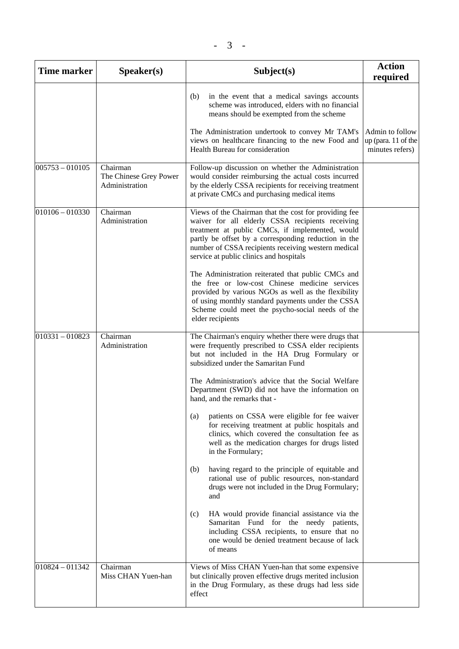| <b>Time marker</b> | Speaker(s)                                           | Subject(s)                                                                                                                                                                                                                                                                                                             | <b>Action</b><br>required                                 |
|--------------------|------------------------------------------------------|------------------------------------------------------------------------------------------------------------------------------------------------------------------------------------------------------------------------------------------------------------------------------------------------------------------------|-----------------------------------------------------------|
|                    |                                                      | in the event that a medical savings accounts<br>(b)<br>scheme was introduced, elders with no financial<br>means should be exempted from the scheme                                                                                                                                                                     |                                                           |
|                    |                                                      | The Administration undertook to convey Mr TAM's<br>views on healthcare financing to the new Food and<br>Health Bureau for consideration                                                                                                                                                                                | Admin to follow<br>up (para. 11 of the<br>minutes refers) |
| $005753 - 010105$  | Chairman<br>The Chinese Grey Power<br>Administration | Follow-up discussion on whether the Administration<br>would consider reimbursing the actual costs incurred<br>by the elderly CSSA recipients for receiving treatment<br>at private CMCs and purchasing medical items                                                                                                   |                                                           |
| $010106 - 010330$  | Chairman<br>Administration                           | Views of the Chairman that the cost for providing fee<br>waiver for all elderly CSSA recipients receiving<br>treatment at public CMCs, if implemented, would<br>partly be offset by a corresponding reduction in the<br>number of CSSA recipients receiving western medical<br>service at public clinics and hospitals |                                                           |
|                    |                                                      | The Administration reiterated that public CMCs and<br>the free or low-cost Chinese medicine services<br>provided by various NGOs as well as the flexibility<br>of using monthly standard payments under the CSSA<br>Scheme could meet the psycho-social needs of the<br>elder recipients                               |                                                           |
| $010331 - 010823$  | Chairman<br>Administration                           | The Chairman's enquiry whether there were drugs that<br>were frequently prescribed to CSSA elder recipients<br>but not included in the HA Drug Formulary or<br>subsidized under the Samaritan Fund                                                                                                                     |                                                           |
|                    |                                                      | The Administration's advice that the Social Welfare<br>Department (SWD) did not have the information on<br>hand, and the remarks that -                                                                                                                                                                                |                                                           |
|                    |                                                      | patients on CSSA were eligible for fee waiver<br>(a)<br>for receiving treatment at public hospitals and<br>clinics, which covered the consultation fee as<br>well as the medication charges for drugs listed<br>in the Formulary;                                                                                      |                                                           |
|                    |                                                      | having regard to the principle of equitable and<br>(b)<br>rational use of public resources, non-standard<br>drugs were not included in the Drug Formulary;<br>and                                                                                                                                                      |                                                           |
|                    |                                                      | HA would provide financial assistance via the<br>(c)<br>Samaritan Fund for the needy patients,<br>including CSSA recipients, to ensure that no<br>one would be denied treatment because of lack<br>of means                                                                                                            |                                                           |
| $010824 - 011342$  | Chairman<br>Miss CHAN Yuen-han                       | Views of Miss CHAN Yuen-han that some expensive<br>but clinically proven effective drugs merited inclusion<br>in the Drug Formulary, as these drugs had less side<br>effect                                                                                                                                            |                                                           |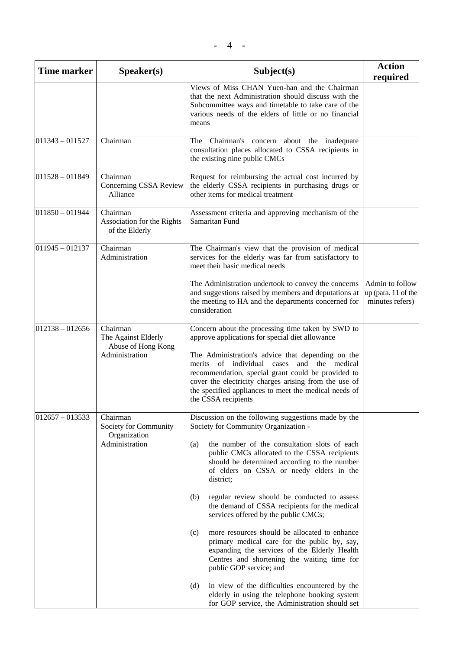| Time marker       | Speaker(s)                                                              | Subject(s)                                                                                                                                                                                                                                                                                                                                                                                                                                                                                                                                                                                                                                                                                                                                                                                                                                                | <b>Action</b><br>required                                 |
|-------------------|-------------------------------------------------------------------------|-----------------------------------------------------------------------------------------------------------------------------------------------------------------------------------------------------------------------------------------------------------------------------------------------------------------------------------------------------------------------------------------------------------------------------------------------------------------------------------------------------------------------------------------------------------------------------------------------------------------------------------------------------------------------------------------------------------------------------------------------------------------------------------------------------------------------------------------------------------|-----------------------------------------------------------|
|                   |                                                                         | Views of Miss CHAN Yuen-han and the Chairman<br>that the next Administration should discuss with the<br>Subcommittee ways and timetable to take care of the<br>various needs of the elders of little or no financial<br>means                                                                                                                                                                                                                                                                                                                                                                                                                                                                                                                                                                                                                             |                                                           |
| $011343 - 011527$ | Chairman                                                                | The Chairman's concern about the inadequate<br>consultation places allocated to CSSA recipients in<br>the existing nine public CMCs                                                                                                                                                                                                                                                                                                                                                                                                                                                                                                                                                                                                                                                                                                                       |                                                           |
| $011528 - 011849$ | Chairman<br>Concerning CSSA Review<br>Alliance                          | Request for reimbursing the actual cost incurred by<br>the elderly CSSA recipients in purchasing drugs or<br>other items for medical treatment                                                                                                                                                                                                                                                                                                                                                                                                                                                                                                                                                                                                                                                                                                            |                                                           |
| $011850 - 011944$ | Chairman<br>Association for the Rights<br>of the Elderly                | Assessment criteria and approving mechanism of the<br>Samaritan Fund                                                                                                                                                                                                                                                                                                                                                                                                                                                                                                                                                                                                                                                                                                                                                                                      |                                                           |
| $011945 - 012137$ | Chairman<br>Administration                                              | The Chairman's view that the provision of medical<br>services for the elderly was far from satisfactory to<br>meet their basic medical needs                                                                                                                                                                                                                                                                                                                                                                                                                                                                                                                                                                                                                                                                                                              |                                                           |
|                   |                                                                         | The Administration undertook to convey the concerns<br>and suggestions raised by members and deputations at<br>the meeting to HA and the departments concerned for<br>consideration                                                                                                                                                                                                                                                                                                                                                                                                                                                                                                                                                                                                                                                                       | Admin to follow<br>up (para. 11 of the<br>minutes refers) |
| $012138 - 012656$ | Chairman<br>The Against Elderly<br>Abuse of Hong Kong<br>Administration | Concern about the processing time taken by SWD to<br>approve applications for special diet allowance<br>The Administration's advice that depending on the<br>merits of individual cases and the medical<br>recommendation, special grant could be provided to<br>cover the electricity charges arising from the use of<br>the specified appliances to meet the medical needs of<br>the CSSA recipients                                                                                                                                                                                                                                                                                                                                                                                                                                                    |                                                           |
| $012657 - 013533$ | Chairman<br>Society for Community<br>Organization<br>Administration     | Discussion on the following suggestions made by the<br>Society for Community Organization -<br>the number of the consultation slots of each<br>(a)<br>public CMCs allocated to the CSSA recipients<br>should be determined according to the number<br>of elders on CSSA or needy elders in the<br>district;<br>regular review should be conducted to assess<br>(b)<br>the demand of CSSA recipients for the medical<br>services offered by the public CMCs;<br>more resources should be allocated to enhance<br>(c)<br>primary medical care for the public by, say,<br>expanding the services of the Elderly Health<br>Centres and shortening the waiting time for<br>public GOP service; and<br>in view of the difficulties encountered by the<br>(d)<br>elderly in using the telephone booking system<br>for GOP service, the Administration should set |                                                           |